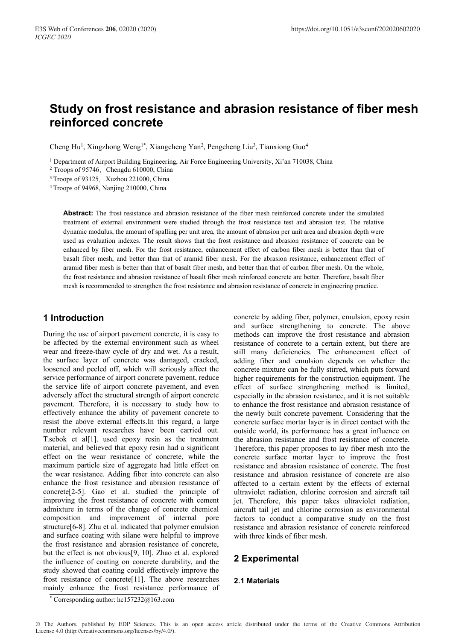# **Study on frost resistance and abrasion resistance of fiber mesh reinforced concrete**

Cheng Hu<sup>1</sup>, Xingzhong Weng<sup>1\*</sup>, Xiangcheng Yan<sup>2</sup>, Pengcheng Liu<sup>3</sup>, Tianxiong Guo<sup>4</sup>

<sup>1</sup> Department of Airport Building Engineering, Air Force Engineering University, Xi'an 710038, China  $^{2}$  Troops of 95746, Chengdu 610000, China

 $3$  Troops of 93125, Xuzhou 221000, China  $4$  Troops of 94968, Nanjing 210000, China

**Abstract:** The frost resistance and abrasion resistance of the fiber mesh reinforced concrete under the simulated treatment of external environment were studied through the frost resistance test and abrasion test. The relative dynamic modulus, the amount of spalling per unit area, the amount of abrasion per unit area and abrasion depth were used as evaluation indexes. The result shows that the frost resistance and abrasion resistance of concrete can be enhanced by fiber mesh. For the frost resistance, enhancement effect of carbon fiber mesh is better than that of basalt fiber mesh, and better than that of aramid fiber mesh. For the abrasion resistance, enhancement effect of aramid fiber mesh is better than that of basalt fiber mesh, and better than that of carbon fiber mesh. On the whole, the frost resistance and abrasion resistance of basalt fiber mesh reinforced concrete are better. Therefore, basalt fiber mesh is recommended to strengthen the frost resistance and abrasion resistance of concrete in engineering practice.

## **1 Introduction**

During the use of airport pavement concrete, it is easy to be affected by the external environment such as wheel wear and freeze-thaw cycle of dry and wet. As a result, the surface layer of concrete was damaged, cracked, loosened and peeled off, which will seriously affect the service performance of airport concrete pavement, reduce the service life of airport concrete pavement, and even adversely affect the structural strength of airport concrete pavement. Therefore, it is necessary to study how to effectively enhance the ability of pavement concrete to resist the above external effects.In this regard, a large number relevant researches have been carried out. T.sebok et al[1]. used epoxy resin as the treatment material, and believed that epoxy resin had a significant effect on the wear resistance of concrete, while the maximum particle size of aggregate had little effect on the wear resistance. Adding fiber into concrete can also enhance the frost resistance and abrasion resistance of concrete[2-5]. Gao et al. studied the principle of improving the frost resistance of concrete with cement admixture in terms of the change of concrete chemical composition and improvement of internal pore structure[6-8]. Zhu et al. indicated that polymer emulsion and surface coating with silane were helpful to improve the frost resistance and abrasion resistance of concrete, but the effect is not obvious[9, 10]. Zhao et al. explored the influence of coating on concrete durability, and the study showed that coating could effectively improve the frost resistance of concrete[11]. The above researches mainly enhance the frost resistance performance of

concrete by adding fiber, polymer, emulsion, epoxy resin and surface strengthening to concrete. The above methods can improve the frost resistance and abrasion resistance of concrete to a certain extent, but there are still many deficiencies. The enhancement effect of adding fiber and emulsion depends on whether the concrete mixture can be fully stirred, which puts forward higher requirements for the construction equipment. The effect of surface strengthening method is limited, especially in the abrasion resistance, and it is not suitable to enhance the frost resistance and abrasion resistance of the newly built concrete pavement. Considering that the concrete surface mortar layer is in direct contact with the outside world, its performance has a great influence on the abrasion resistance and frost resistance of concrete. Therefore, this paper proposes to lay fiber mesh into the concrete surface mortar layer to improve the frost resistance and abrasion resistance of concrete. The frost resistance and abrasion resistance of concrete are also affected to a certain extent by the effects of external ultraviolet radiation, chlorine corrosion and aircraft tail jet. Therefore, this paper takes ultraviolet radiation, aircraft tail jet and chlorine corrosion as environmental factors to conduct a comparative study on the frost resistance and abrasion resistance of concrete reinforced with three kinds of fiber mesh.

## **2 Experimental**

#### **2.1 Materials**

© The Authors, published by EDP Sciences. This is an open access article distributed under the terms of the Creative Commons Attribution License 4.0 (http://creativecommons.org/licenses/by/4.0/).

<sup>\*</sup> Corresponding author:  $hc157232@3163.com$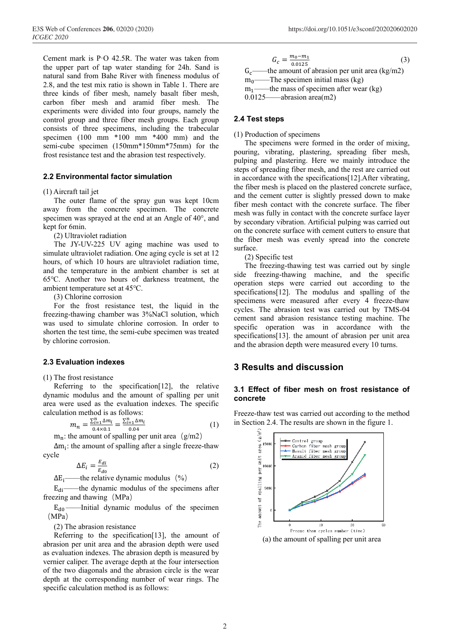Cement mark is PꞏO 42.5R. The water was taken from the upper part of tap water standing for 24h. Sand is natural sand from Bahe River with fineness modulus of 2.8, and the test mix ratio is shown in Table 1. There are three kinds of fiber mesh, namely basalt fiber mesh, carbon fiber mesh and aramid fiber mesh. The experiments were divided into four groups, namely the control group and three fiber mesh groups. Each group consists of three specimens, including the trabecular specimen (100 mm \*100 mm \*400 mm) and the semi-cube specimen (150mm\*150mm\*75mm) for the frost resistance test and the abrasion test respectively.

#### **2.2 Environmental factor simulation**

(1) Aircraft tail jet

The outer flame of the spray gun was kept 10cm away from the concrete specimen. The concrete specimen was sprayed at the end at an Angle of 40°, and kept for 6min.

(2) Ultraviolet radiation

The JY-UV-225 UV aging machine was used to simulate ultraviolet radiation. One aging cycle is set at 12 hours, of which 10 hours are ultraviolet radiation time, and the temperature in the ambient chamber is set at 65℃. Another two hours of darkness treatment, the ambient temperature set at 45℃.

(3) Chlorine corrosion

For the frost resistance test, the liquid in the freezing-thawing chamber was 3%NaCl solution, which was used to simulate chlorine corrosion. In order to shorten the test time, the semi-cube specimen was treated by chlorine corrosion.

#### **2.3 Evaluation indexes**

(1) The frost resistance

Referring to the specification[12], the relative dynamic modulus and the amount of spalling per unit area were used as the evaluation indexes. The specific calculation method is as follows:

$$
m_n = \frac{\sum_{i=1}^n \Delta m_i}{0.4 \times 0.1} = \frac{\sum_{i=1}^n \Delta m_i}{0.04} \tag{1}
$$

 $m_n$ : the amount of spalling per unit area (g/m2)

 $\Delta m_i$ : the amount of spalling after a single freeze-thaw cycle

$$
\Delta E_i = \frac{E_{di}}{E_{do}}\tag{2}
$$

 $\Delta E_i$  the relative dynamic modulus (%)

 $E_{di}$ ——the dynamic modulus of the specimens after freezing and thawing (MPa)

 $E_{d0}$ ——Initial dynamic modulus of the specimen (MPa)

(2) The abrasion resistance

Referring to the specification<sup>[13]</sup>, the amount of abrasion per unit area and the abrasion depth were used as evaluation indexes. The abrasion depth is measured by vernier caliper. The average depth at the four intersection of the two diagonals and the abrasion circle is the wear depth at the corresponding number of wear rings. The specific calculation method is as follows:

 $G_c = \frac{m_0 - m_1}{0.0125}$  $\frac{n_0 - n_1}{0.0125}$  (3)  $G_c$ ——the amount of abrasion per unit area (kg/m2)  $m_0$ ——The specimen initial mass (kg)  $m_1$ ——the mass of specimen after wear (kg) 0.0125——abrasion area(m2)

#### **2.4 Test steps**

(1) Production of specimens

The specimens were formed in the order of mixing, pouring, vibrating, plastering, spreading fiber mesh, pulping and plastering. Here we mainly introduce the steps of spreading fiber mesh, and the rest are carried out in accordance with the specifications[12].After vibrating, the fiber mesh is placed on the plastered concrete surface, and the cement cutter is slightly pressed down to make fiber mesh contact with the concrete surface. The fiber mesh was fully in contact with the concrete surface layer by secondary vibration. Artificial pulping was carried out on the concrete surface with cement cutters to ensure that the fiber mesh was evenly spread into the concrete surface.

(2) Specific test

The freezing-thawing test was carried out by single side freezing-thawing machine, and the specific operation steps were carried out according to the specifications[12]. The modulus and spalling of the specimens were measured after every 4 freeze-thaw cycles. The abrasion test was carried out by TMS-04 cement sand abrasion resistance testing machine. The specific operation was in accordance with the specifications[13]. the amount of abrasion per unit area and the abrasion depth were measured every 10 turns.

### **3 Results and discussion**

#### **3.1 Effect of fiber mesh on frost resistance of concrete**

Freeze-thaw test was carried out according to the method in Section 2.4. The results are shown in the figure 1.

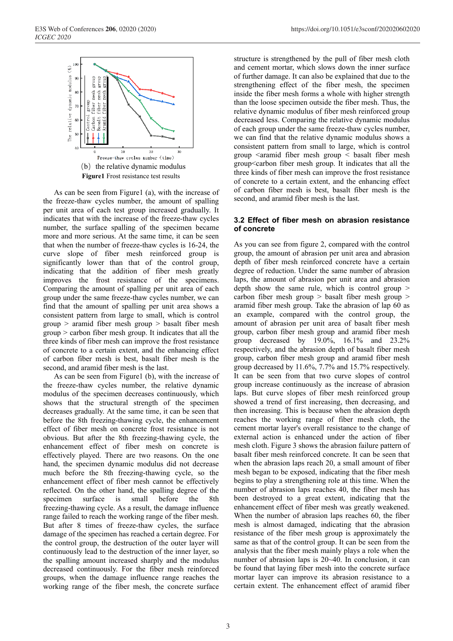

As can be seen from Figure1 (a), with the increase of the freeze-thaw cycles number, the amount of spalling per unit area of each test group increased gradually. It indicates that with the increase of the freeze-thaw cycles number, the surface spalling of the specimen became more and more serious. At the same time, it can be seen that when the number of freeze-thaw cycles is 16-24, the curve slope of fiber mesh reinforced group is significantly lower than that of the control group, indicating that the addition of fiber mesh greatly improves the frost resistance of the specimens. Comparing the amount of spalling per unit area of each group under the same freeze-thaw cycles number, we can find that the amount of spalling per unit area shows a consistent pattern from large to small, which is control group > aramid fiber mesh group > basalt fiber mesh group > carbon fiber mesh group. It indicates that all the three kinds of fiber mesh can improve the frost resistance of concrete to a certain extent, and the enhancing effect of carbon fiber mesh is best, basalt fiber mesh is the second, and aramid fiber mesh is the last.

As can be seen from Figure1 (b), with the increase of the freeze-thaw cycles number, the relative dynamic modulus of the specimen decreases continuously, which shows that the structural strength of the specimen decreases gradually. At the same time, it can be seen that before the 8th freezing-thawing cycle, the enhancement effect of fiber mesh on concrete frost resistance is not obvious. But after the 8th freezing-thawing cycle, the enhancement effect of fiber mesh on concrete is effectively played. There are two reasons. On the one hand, the specimen dynamic modulus did not decrease much before the 8th freezing-thawing cycle, so the enhancement effect of fiber mesh cannot be effectively reflected. On the other hand, the spalling degree of the specimen surface is small before the 8th freezing-thawing cycle. As a result, the damage influence range failed to reach the working range of the fiber mesh. But after 8 times of freeze-thaw cycles, the surface damage of the specimen has reached a certain degree. For the control group, the destruction of the outer layer will continuously lead to the destruction of the inner layer, so the spalling amount increased sharply and the modulus decreased continuously. For the fiber mesh reinforced groups, when the damage influence range reaches the working range of the fiber mesh, the concrete surface

structure is strengthened by the pull of fiber mesh cloth and cement mortar, which slows down the inner surface of further damage. It can also be explained that due to the strengthening effect of the fiber mesh, the specimen inside the fiber mesh forms a whole with higher strength than the loose specimen outside the fiber mesh. Thus, the relative dynamic modulus of fiber mesh reinforced group decreased less. Comparing the relative dynamic modulus of each group under the same freeze-thaw cycles number, we can find that the relative dynamic modulus shows a consistent pattern from small to large, which is control group  $\leq$  aramid fiber mesh group  $\leq$  basalt fiber mesh group<carbon fiber mesh group. It indicates that all the three kinds of fiber mesh can improve the frost resistance of concrete to a certain extent, and the enhancing effect of carbon fiber mesh is best, basalt fiber mesh is the second, and aramid fiber mesh is the last.

#### **3.2 Effect of fiber mesh on abrasion resistance of concrete**

As you can see from figure 2, compared with the control group, the amount of abrasion per unit area and abrasion depth of fiber mesh reinforced concrete have a certain degree of reduction. Under the same number of abrasion laps, the amount of abrasion per unit area and abrasion depth show the same rule, which is control group  $>$ carbon fiber mesh group > basalt fiber mesh group > aramid fiber mesh group. Take the abrasion of lap 60 as an example, compared with the control group, the amount of abrasion per unit area of basalt fiber mesh group, carbon fiber mesh group and aramid fiber mesh group decreased by 19.0%, 16.1% and 23.2% respectively, and the abrasion depth of basalt fiber mesh group, carbon fiber mesh group and aramid fiber mesh group decreased by 11.6%, 7.7% and 15.7% respectively. It can be seen from that two curve slopes of control group increase continuously as the increase of abrasion laps. But curve slopes of fiber mesh reinforced group showed a trend of first increasing, then decreasing, and then increasing. This is because when the abrasion depth reaches the working range of fiber mesh cloth, the cement mortar layer's overall resistance to the change of external action is enhanced under the action of fiber mesh cloth. Figure 3 shows the abrasion failure pattern of basalt fiber mesh reinforced concrete. It can be seen that when the abrasion laps reach 20, a small amount of fiber mesh began to be exposed, indicating that the fiber mesh begins to play a strengthening role at this time. When the number of abrasion laps reaches 40, the fiber mesh has been destroyed to a great extent, indicating that the enhancement effect of fiber mesh was greatly weakened. When the number of abrasion laps reaches 60, the fiber mesh is almost damaged, indicating that the abrasion resistance of the fiber mesh group is approximately the same as that of the control group. It can be seen from the analysis that the fiber mesh mainly plays a role when the number of abrasion laps is 20~40. In conclusion, it can be found that laying fiber mesh into the concrete surface mortar layer can improve its abrasion resistance to a certain extent. The enhancement effect of aramid fiber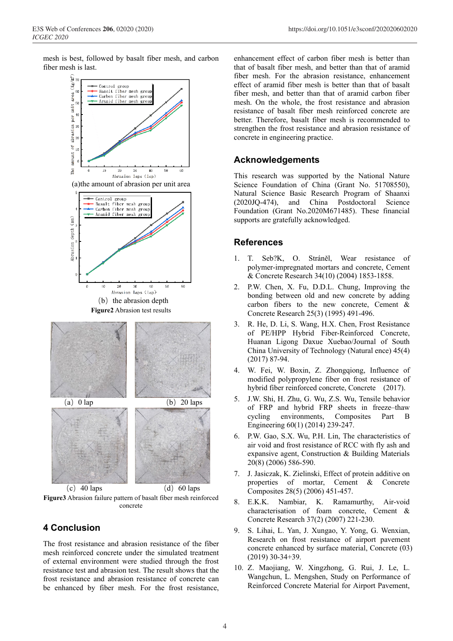mesh is best, followed by basalt fiber mesh, and carbon fiber mesh is last.



**Figure3** Abrasion failure pattern of basalt fiber mesh reinforced concrete

## **4 Conclusion**

The frost resistance and abrasion resistance of the fiber mesh reinforced concrete under the simulated treatment of external environment were studied through the frost resistance test and abrasion test. The result shows that the frost resistance and abrasion resistance of concrete can be enhanced by fiber mesh. For the frost resistance,

enhancement effect of carbon fiber mesh is better than that of basalt fiber mesh, and better than that of aramid fiber mesh. For the abrasion resistance, enhancement effect of aramid fiber mesh is better than that of basalt fiber mesh, and better than that of aramid carbon fiber mesh. On the whole, the frost resistance and abrasion resistance of basalt fiber mesh reinforced concrete are better. Therefore, basalt fiber mesh is recommended to strengthen the frost resistance and abrasion resistance of concrete in engineering practice.

# **Acknowledgements**

This research was supported by the National Nature Science Foundation of China (Grant No. 51708550), Natural Science Basic Research Program of Shaanxi (2020JQ-474), and China Postdoctoral Science Foundation (Grant No.2020M671485). These financial supports are gratefully acknowledged.

## **References**

- 1. T. Seb?K, O. Stráněl, Wear resistance of polymer-impregnated mortars and concrete, Cement & Concrete Research 34(10) (2004) 1853-1858.
- 2. P.W. Chen, X. Fu, D.D.L. Chung, Improving the bonding between old and new concrete by adding carbon fibers to the new concrete, Cement & Concrete Research 25(3) (1995) 491-496.
- 3. R. He, D. Li, S. Wang, H.X. Chen, Frost Resistance of PE/HPP Hybrid Fiber-Reinforced Concrete, Huanan Ligong Daxue Xuebao/Journal of South China University of Technology (Natural ence) 45(4) (2017) 87-94.
- 4. W. Fei, W. Boxin, Z. Zhongqiong, Influence of modified polypropylene fiber on frost resistance of hybrid fiber reinforced concrete, Concrete (2017).
- 5. J.W. Shi, H. Zhu, G. Wu, Z.S. Wu, Tensile behavior of FRP and hybrid FRP sheets in freeze–thaw cycling environments, Composites Part B Engineering 60(1) (2014) 239-247.
- 6. P.W. Gao, S.X. Wu, P.H. Lin, The characteristics of air void and frost resistance of RCC with fly ash and expansive agent, Construction & Building Materials 20(8) (2006) 586-590.
- 7. J. Jasiczak, K. Zielinski, Effect of protein additive on properties of mortar, Cement & Concrete Composites 28(5) (2006) 451-457.
- 8. E.K.K. Nambiar, K. Ramamurthy, Air‐void characterisation of foam concrete, Cement & Concrete Research 37(2) (2007) 221-230.
- 9. S. Lihai, L. Yan, J. Xungao, Y. Yong, G. Wenxian, Research on frost resistance of airport pavement concrete enhanced by surface material, Concrete (03) (2019) 30-34+39.
- 10. Z. Maojiang, W. Xingzhong, G. Rui, J. Le, L. Wangchun, L. Mengshen, Study on Performance of Reinforced Concrete Material for Airport Pavement,